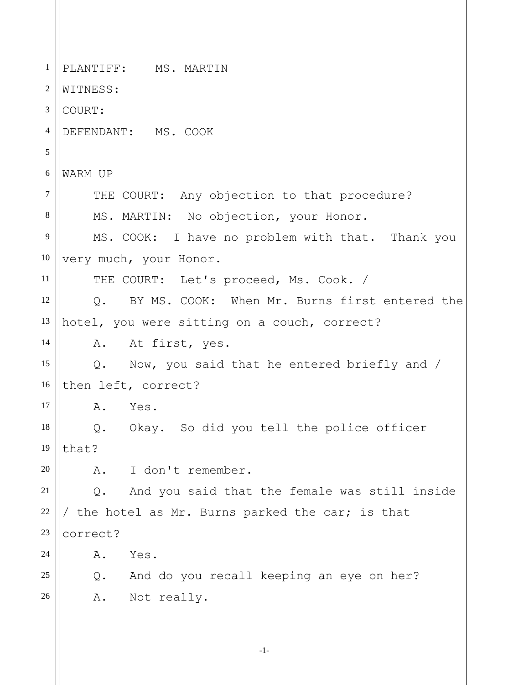1 2 3 4 5 6 7 8 9 10 11 12 13 14 15 16 17 18 19 20 21 22 23 24 25 26 PLANTIFF: MS. MARTIN WITNESS: COURT: DEFENDANT: MS. COOK WARM UP THE COURT: Any objection to that procedure? MS. MARTIN: No objection, your Honor. MS. COOK: I have no problem with that. Thank you very much, your Honor. THE COURT: Let's proceed, Ms. Cook. / Q. BY MS. COOK: When Mr. Burns first entered the hotel, you were sitting on a couch, correct? A. At first, yes. Q. Now, you said that he entered briefly and / then left, correct? A. Yes. Q. Okay. So did you tell the police officer that? A. I don't remember. Q. And you said that the female was still inside / the hotel as Mr. Burns parked the car; is that correct? A. Yes. Q. And do you recall keeping an eye on her? A. Not really.

-1-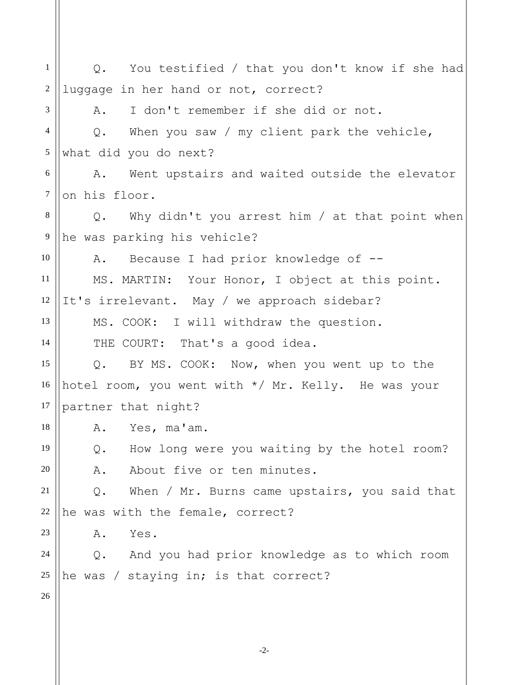1 2 3 4 5 6 7 8 9 10 11 12 13 14 15 16 17 18 19 20 21 22 23 24 25 26 Q. You testified / that you don't know if she had luggage in her hand or not, correct? A. I don't remember if she did or not. Q. When you saw / my client park the vehicle, what did you do next? A. Went upstairs and waited outside the elevator on his floor. Q. Why didn't you arrest him / at that point when he was parking his vehicle? A. Because I had prior knowledge of --MS. MARTIN: Your Honor, I object at this point. It's irrelevant. May / we approach sidebar? MS. COOK: I will withdraw the question. THE COURT: That's a good idea. Q. BY MS. COOK: Now, when you went up to the hotel room, you went with \*/ Mr. Kelly. He was your partner that night? A. Yes, ma'am. Q. How long were you waiting by the hotel room? A. About five or ten minutes. Q. When / Mr. Burns came upstairs, you said that he was with the female, correct? A. Yes. Q. And you had prior knowledge as to which room he was / staying in; is that correct?

-2-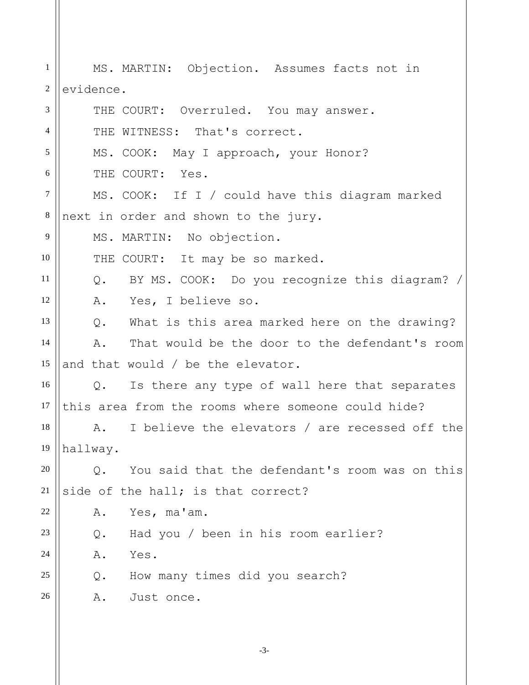1 2 3 4 5 6 7 8 9 10 11 12 13 14 15 16 17 18 19 20 21 22 23 24 25 26 MS. MARTIN: Objection. Assumes facts not in evidence. THE COURT: Overruled. You may answer. THE WITNESS: That's correct. MS. COOK: May I approach, your Honor? THE COURT: Yes. MS. COOK: If I / could have this diagram marked next in order and shown to the jury. MS. MARTIN: No objection. THE COURT: It may be so marked. Q. BY MS. COOK: Do you recognize this diagram? / A. Yes, I believe so. Q. What is this area marked here on the drawing? A. That would be the door to the defendant's room and that would / be the elevator. Q. Is there any type of wall here that separates this area from the rooms where someone could hide? A. I believe the elevators / are recessed off the hallway. Q. You said that the defendant's room was on this side of the hall; is that correct? A. Yes, ma'am. Q. Had you / been in his room earlier? A. Yes. Q. How many times did you search? A. Just once.

-3-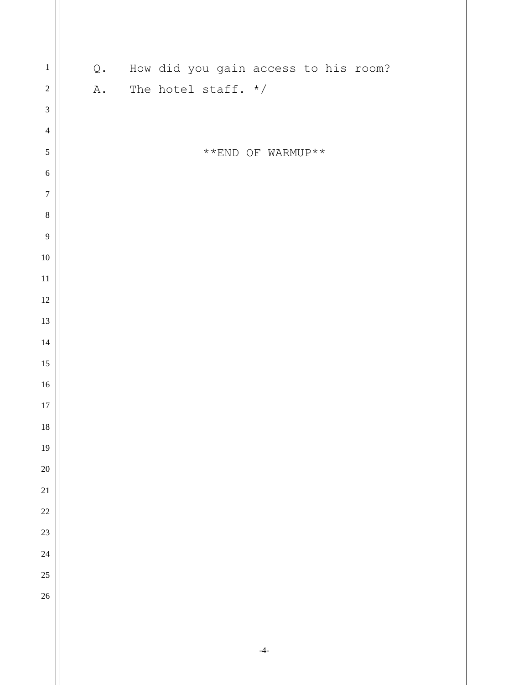| $\,1\,$        | $\mathbb Q$ . | How did you gain access to his room?              |
|----------------|---------------|---------------------------------------------------|
| $\overline{c}$ | ${\tt A}$ .   | The hotel staff. $*/$                             |
| $\overline{3}$ |               |                                                   |
| $\overline{4}$ |               |                                                   |
| 5              |               | $^{\star\;\star}$ END OF WARMUP $^{\star\;\star}$ |
| $\sqrt{6}$     |               |                                                   |
| $\overline{7}$ |               |                                                   |
| $\bf 8$        |               |                                                   |
| $\overline{9}$ |               |                                                   |
| $10\,$         |               |                                                   |
| $11\,$         |               |                                                   |
| $12\,$         |               |                                                   |
| $13\,$         |               |                                                   |
| $14\,$         |               |                                                   |
| $15\,$         |               |                                                   |
| $16\,$         |               |                                                   |
| $17\,$         |               |                                                   |
| $18\,$         |               |                                                   |
| 19             |               |                                                   |
| $20\,$         |               |                                                   |
| $21\,$         |               |                                                   |
| $22\,$         |               |                                                   |
| $23\,$         |               |                                                   |
| $24\,$         |               |                                                   |
| $25\,$         |               |                                                   |
| 26             |               |                                                   |
|                |               |                                                   |
|                |               |                                                   |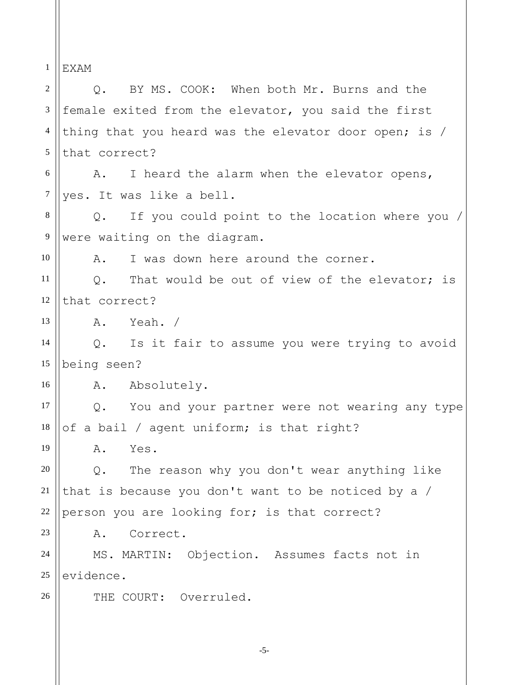1 EXAM

-5- 2 3 4 5 6 7 8 9 10 11 12 13 14 15 16 17 18 19 20 21 22 23 24 25 26 Q. BY MS. COOK: When both Mr. Burns and the female exited from the elevator, you said the first thing that you heard was the elevator door open; is / that correct? A. I heard the alarm when the elevator opens, yes. It was like a bell. Q. If you could point to the location where you / were waiting on the diagram. A. I was down here around the corner. Q. That would be out of view of the elevator; is that correct? A. Yeah. / Q. Is it fair to assume you were trying to avoid being seen? A. Absolutely. Q. You and your partner were not wearing any type of a bail / agent uniform; is that right? A. Yes. Q. The reason why you don't wear anything like that is because you don't want to be noticed by a / person you are looking for; is that correct? A. Correct. MS. MARTIN: Objection. Assumes facts not in evidence. THE COURT: Overruled.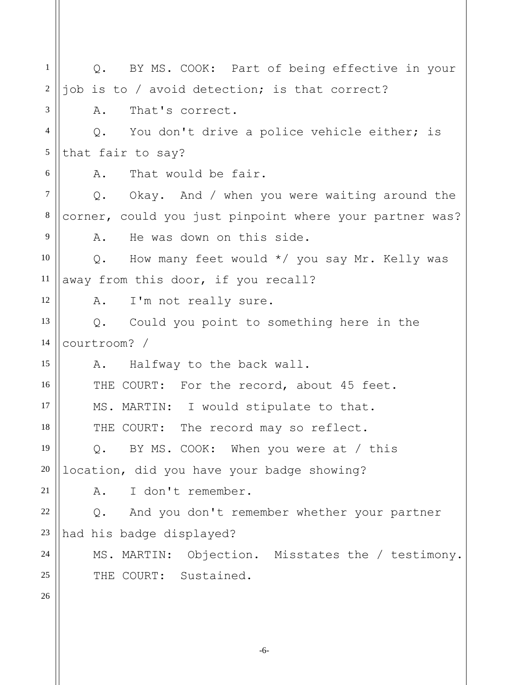1 2 3 4 5 6 7 8 9 10 11 12 13 14 15 16 17 18 19 20 21 22 23 24 25 26 Q. BY MS. COOK: Part of being effective in your job is to / avoid detection; is that correct? A. That's correct. Q. You don't drive a police vehicle either; is that fair to say? A. That would be fair. Q. Okay. And / when you were waiting around the corner, could you just pinpoint where your partner was? A. He was down on this side. Q. How many feet would \*/ you say Mr. Kelly was away from this door, if you recall? A. I'm not really sure. Q. Could you point to something here in the courtroom? / A. Halfway to the back wall. THE COURT: For the record, about 45 feet. MS. MARTIN: I would stipulate to that. THE COURT: The record may so reflect. Q. BY MS. COOK: When you were at / this location, did you have your badge showing? A. I don't remember. Q. And you don't remember whether your partner had his badge displayed? MS. MARTIN: Objection. Misstates the / testimony. THE COURT: Sustained.

-6-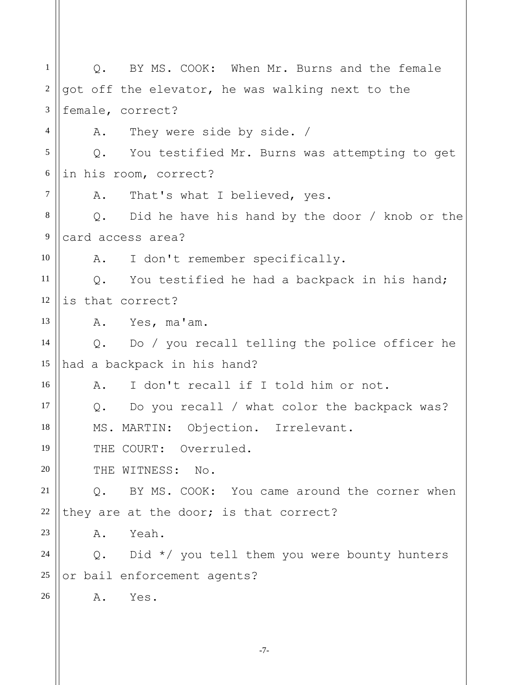1 2 3 4 5 6 7 8 9 10 11 12 13 14 15 16 17 18 19 20 21 22 23 24 25 26 Q. BY MS. COOK: When Mr. Burns and the female got off the elevator, he was walking next to the female, correct? A. They were side by side. / Q. You testified Mr. Burns was attempting to get in his room, correct? A. That's what I believed, yes. Q. Did he have his hand by the door / knob or the card access area? A. I don't remember specifically. Q. You testified he had a backpack in his hand; is that correct? A. Yes, ma'am. Q. Do / you recall telling the police officer he had a backpack in his hand? A. I don't recall if I told him or not. Q. Do you recall / what color the backpack was? MS. MARTIN: Objection. Irrelevant. THE COURT: Overruled. THE WITNESS: No. Q. BY MS. COOK: You came around the corner when they are at the door; is that correct? A. Yeah. Q. Did \*/ you tell them you were bounty hunters or bail enforcement agents? A. Yes.

-7-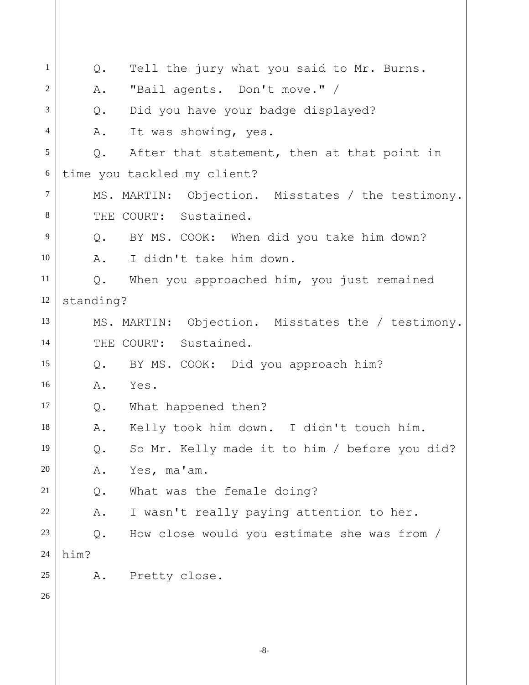| $\mathbf{1}$   | Tell the jury what you said to Mr. Burns.<br>Q.      |  |
|----------------|------------------------------------------------------|--|
| 2              | "Bail agents. Don't move." /<br>A.                   |  |
| 3              | Did you have your badge displayed?<br>Q.             |  |
| $\overline{4}$ | A.<br>It was showing, yes.                           |  |
| 5              | Q. After that statement, then at that point in       |  |
| 6              | time you tackled my client?                          |  |
| $\tau$         | MS. MARTIN: Objection. Misstates / the testimony.    |  |
| 8              | THE COURT: Sustained.                                |  |
| 9              | Q. BY MS. COOK: When did you take him down?          |  |
| 10             | A.<br>I didn't take him down.                        |  |
| 11             | Q. When you approached him, you just remained        |  |
| 12             | standing?                                            |  |
| 13             | MS. MARTIN: Objection. Misstates the / testimony.    |  |
| 14             | THE COURT: Sustained.                                |  |
| 15             | Q. BY MS. COOK: Did you approach him?                |  |
| 16             | A. Yes.                                              |  |
| 17             | Q. What happened then?                               |  |
| 18             | Kelly took him down. I didn't touch him.<br>Α.       |  |
| 19             | So Mr. Kelly made it to him / before you did?<br>Q.  |  |
| 20             | Yes, ma'am.<br>Α.                                    |  |
| 21             | What was the female doing?<br>Q.                     |  |
| 22             | I wasn't really paying attention to her.<br>Α.       |  |
| 23             | How close would you estimate she was from /<br>$Q$ . |  |
| 24             | him?                                                 |  |
| 25             | Pretty close.<br>Α.                                  |  |
| 26             |                                                      |  |
|                |                                                      |  |
|                | $-8-$                                                |  |
|                |                                                      |  |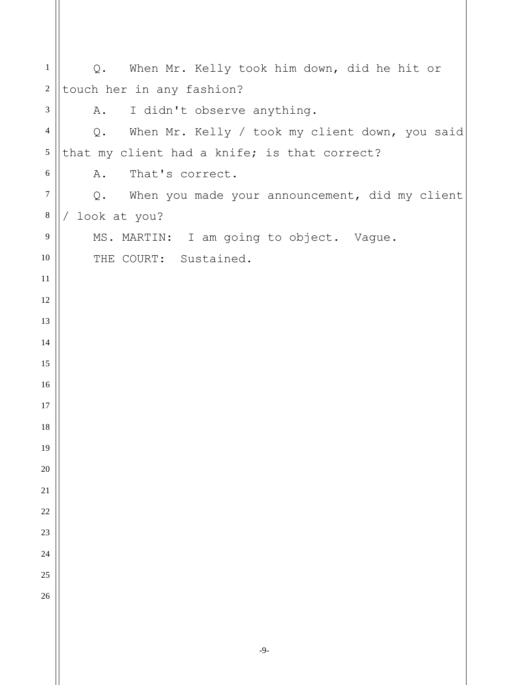| $\mathbf{1}$   | Q. When Mr. Kelly took him down, did he hit or          |
|----------------|---------------------------------------------------------|
| $\sqrt{2}$     | touch her in any fashion?                               |
| $\mathfrak{Z}$ | I didn't observe anything.<br>Α.                        |
| $\overline{4}$ | Q. When Mr. Kelly / took my client down, you said       |
| $\mathfrak{S}$ | that my client had a knife; is that correct?            |
| 6              | That's correct.<br>Α.                                   |
| $\overline{7}$ | When you made your announcement, did my client<br>$Q$ . |
| $8\,$          | look at you?                                            |
| 9              | MS. MARTIN: I am going to object. Vague.                |
| 10             | THE COURT: Sustained.                                   |
| 11             |                                                         |
| 12             |                                                         |
| 13             |                                                         |
| 14             |                                                         |
| 15             |                                                         |
| 16             |                                                         |
| 17             |                                                         |
| 18             |                                                         |
| 19             |                                                         |
| 20             |                                                         |
| $21\,$         |                                                         |
| 22             |                                                         |
| 23             |                                                         |
| 24             |                                                         |
| 25             |                                                         |
| 26             |                                                         |
|                |                                                         |
|                |                                                         |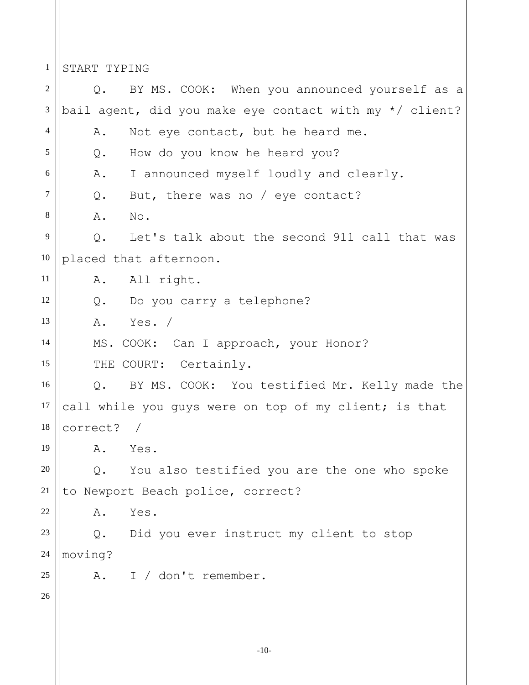1 START TYPING

2 3 4 5 6 7 8 9 10 11 12 13 14 15 16 17 18 19 20 21 22 23 24 25 26 Q. BY MS. COOK: When you announced yourself as a bail agent, did you make eye contact with my \*/ client? A. Not eye contact, but he heard me. Q. How do you know he heard you? A. I announced myself loudly and clearly. Q. But, there was no / eye contact? A. No. Q. Let's talk about the second 911 call that was placed that afternoon. A. All right. Q. Do you carry a telephone? A. Yes. / MS. COOK: Can I approach, your Honor? THE COURT: Certainly. Q. BY MS. COOK: You testified Mr. Kelly made the call while you guys were on top of my client; is that correct? / A. Yes. Q. You also testified you are the one who spoke to Newport Beach police, correct? A. Yes. Q. Did you ever instruct my client to stop moving? A. I / don't remember.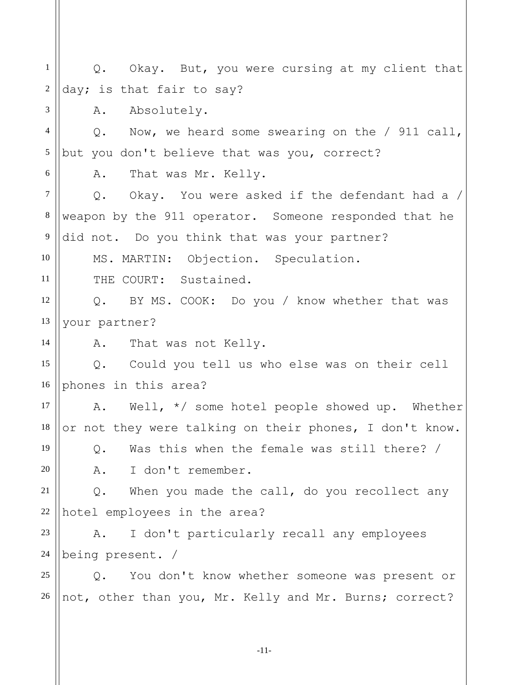1 2 3 4 5 6 7 8 9 10 11 12 13 14 15 16 17 18 19 20 21 22 23 24 25 26 Q. Okay. But, you were cursing at my client that day; is that fair to say? A. Absolutely. Q. Now, we heard some swearing on the / 911 call, but you don't believe that was you, correct? A. That was Mr. Kelly. Q. Okay. You were asked if the defendant had a / weapon by the 911 operator. Someone responded that he did not. Do you think that was your partner? MS. MARTIN: Objection. Speculation. THE COURT: Sustained. Q. BY MS. COOK: Do you / know whether that was your partner? A. That was not Kelly. Q. Could you tell us who else was on their cell phones in this area? A. Well, \*/ some hotel people showed up. Whether or not they were talking on their phones, I don't know. Q. Was this when the female was still there? / A. I don't remember. Q. When you made the call, do you recollect any hotel employees in the area? A. I don't particularly recall any employees being present. / Q. You don't know whether someone was present or not, other than you, Mr. Kelly and Mr. Burns; correct?

-11-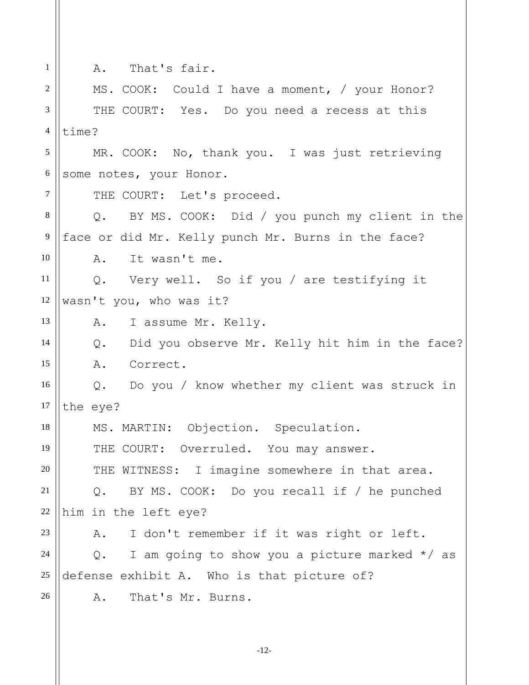| $\mathbf{1}$   | A. That's fair.                                       |
|----------------|-------------------------------------------------------|
| $\overline{2}$ | MS. COOK: Could I have a moment, / your Honor?        |
| $\overline{3}$ | THE COURT: Yes. Do you need a recess at this          |
| $\overline{4}$ | time?                                                 |
| 5              | MR. COOK: No, thank you. I was just retrieving        |
| $6\,$          | some notes, your Honor.                               |
| $\tau$         | THE COURT: Let's proceed.                             |
| 8              | Q. BY MS. COOK: Did / you punch my client in the      |
| 9              | face or did Mr. Kelly punch Mr. Burns in the face?    |
| 10             | A. It wasn't me.                                      |
| 11             | Q. Very well. So if you / are testifying it           |
| 12             | wasn't you, who was it?                               |
| 13             | A. I assume Mr. Kelly.                                |
| 14             | Q. Did you observe Mr. Kelly hit him in the face?     |
| 15             | A. Correct.                                           |
| 16             | Q. Do you / know whether my client was struck in      |
| 17             | the eye?                                              |
| 18             | MS. MARTIN: Objection. Speculation.                   |
| 19             | THE COURT: Overruled. You may answer.                 |
| 20             | THE WITNESS: I imagine somewhere in that area.        |
| 21             | BY MS. COOK: Do you recall if / he punched<br>Q.      |
| $22\,$         | him in the left eye?                                  |
| 23             | I don't remember if it was right or left.<br>Α.       |
| 24             | I am going to show you a picture marked $*/$ as<br>Q. |
| 25             | defense exhibit A. Who is that picture of?            |
| 26             | That's Mr. Burns.<br>Α.                               |
|                |                                                       |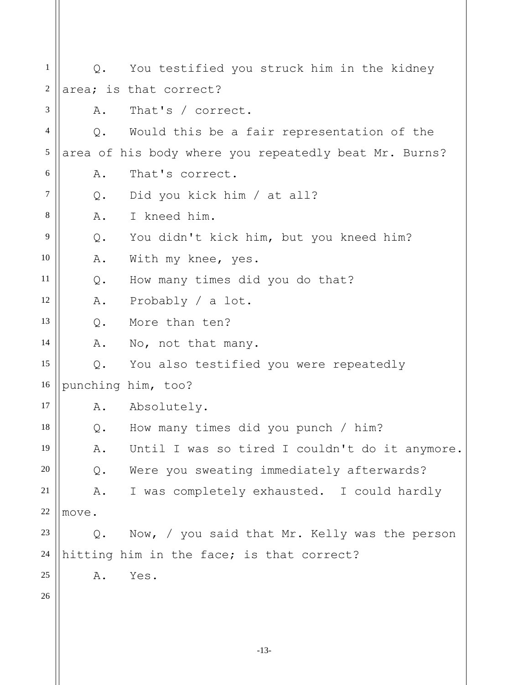-13- 1 2 3 4 5 6 7 8 9 10 11 12 13 14 15 16 17 18 19 20 21 22 23 24 25 26 Q. You testified you struck him in the kidney area; is that correct? A. That's / correct. Q. Would this be a fair representation of the area of his body where you repeatedly beat Mr. Burns? A. That's correct. Q. Did you kick him / at all? A. I kneed him. Q. You didn't kick him, but you kneed him? A. With my knee, yes. Q. How many times did you do that? A. Probably / a lot. Q. More than ten? A. No, not that many. Q. You also testified you were repeatedly punching him, too? A. Absolutely. Q. How many times did you punch / him? A. Until I was so tired I couldn't do it anymore. Q. Were you sweating immediately afterwards? A. I was completely exhausted. I could hardly move. Q. Now, / you said that Mr. Kelly was the person hitting him in the face; is that correct? A. Yes.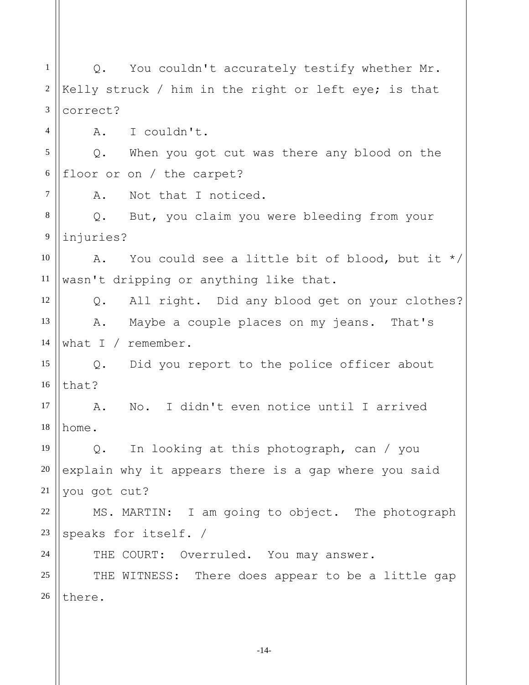1 2 3 4 5 6 7 8 9 10 11 12 13 14 15 16 17 18 19 20 21 22 23 24 25 26 Q. You couldn't accurately testify whether Mr. Kelly struck / him in the right or left eye; is that correct? A. I couldn't. Q. When you got cut was there any blood on the floor or on / the carpet? A. Not that I noticed. Q. But, you claim you were bleeding from your injuries? A. You could see a little bit of blood, but it \*/ wasn't dripping or anything like that. Q. All right. Did any blood get on your clothes? A. Maybe a couple places on my jeans. That's what I / remember. Q. Did you report to the police officer about that? A. No. I didn't even notice until I arrived home. Q. In looking at this photograph, can / you explain why it appears there is a gap where you said you got cut? MS. MARTIN: I am going to object. The photograph speaks for itself. / THE COURT: Overruled. You may answer. THE WITNESS: There does appear to be a little gap there.

-14-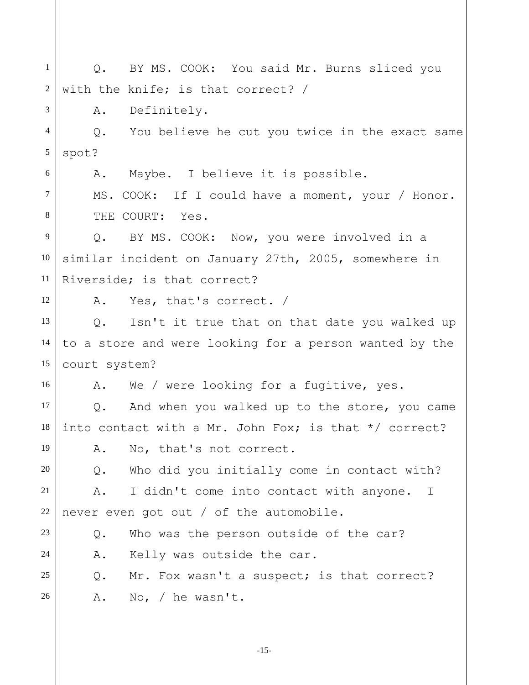1 2 3 4 5 6 7 8 9 10 11 12 13 14 15 16 17 18 19 20 21 22 23 24 25 26 Q. BY MS. COOK: You said Mr. Burns sliced you with the knife; is that correct? / A. Definitely. Q. You believe he cut you twice in the exact same spot? A. Maybe. I believe it is possible. MS. COOK: If I could have a moment, your / Honor. THE COURT: Yes. Q. BY MS. COOK: Now, you were involved in a similar incident on January 27th, 2005, somewhere in Riverside; is that correct? A. Yes, that's correct. / Q. Isn't it true that on that date you walked up to a store and were looking for a person wanted by the court system? A. We / were looking for a fugitive, yes. Q. And when you walked up to the store, you came into contact with a Mr. John Fox; is that \*/ correct? A. No, that's not correct. Q. Who did you initially come in contact with? A. I didn't come into contact with anyone. I never even got out / of the automobile. Q. Who was the person outside of the car? A. Kelly was outside the car. Q. Mr. Fox wasn't a suspect; is that correct? A. No, / he wasn't.

-15-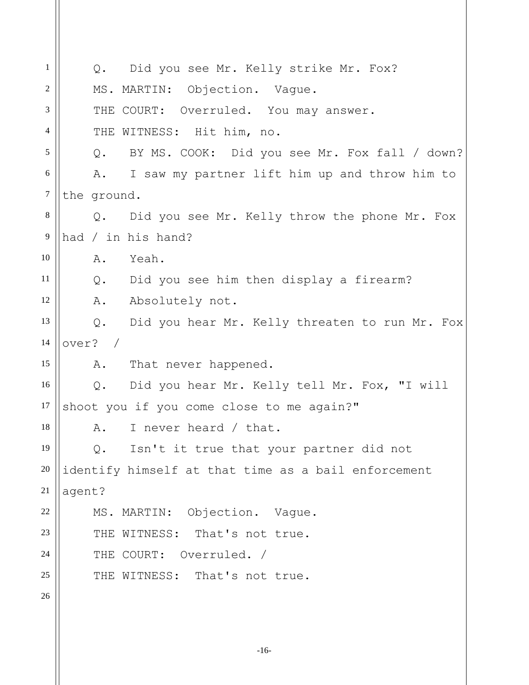1 2 3 4 5 6 7 8 9 10 11 12 13 14 15 16 17 18 19 20 21 22 23 24 25 26 Q. Did you see Mr. Kelly strike Mr. Fox? MS. MARTIN: Objection. Vague. THE COURT: Overruled. You may answer. THE WITNESS: Hit him, no. Q. BY MS. COOK: Did you see Mr. Fox fall / down? A. I saw my partner lift him up and throw him to the ground. Q. Did you see Mr. Kelly throw the phone Mr. Fox had / in his hand? A. Yeah. Q. Did you see him then display a firearm? A. Absolutely not. Q. Did you hear Mr. Kelly threaten to run Mr. Fox over? / A. That never happened. Q. Did you hear Mr. Kelly tell Mr. Fox, "I will shoot you if you come close to me again?" A. I never heard / that. Q. Isn't it true that your partner did not identify himself at that time as a bail enforcement agent? MS. MARTIN: Objection. Vague. THE WITNESS: That's not true. THE COURT: Overruled. / THE WITNESS: That's not true.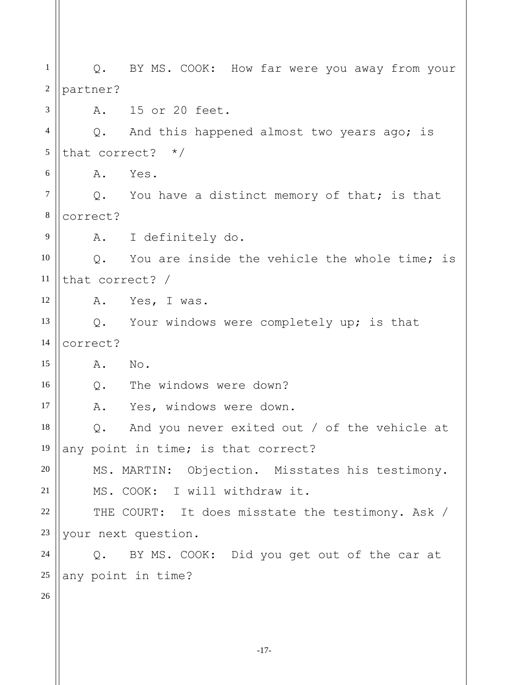1 2 3 4 5 6 7 8 9 10 11 12 13 14 15 16 17 18 19 20 21 22 23 24 25 26 Q. BY MS. COOK: How far were you away from your partner? A. 15 or 20 feet. Q. And this happened almost two years ago; is that correct? \*/ A. Yes. Q. You have a distinct memory of that; is that correct? A. I definitely do. Q. You are inside the vehicle the whole time; is that correct? / A. Yes, I was. Q. Your windows were completely up; is that correct? A. No. Q. The windows were down? A. Yes, windows were down. Q. And you never exited out / of the vehicle at any point in time; is that correct? MS. MARTIN: Objection. Misstates his testimony. MS. COOK: I will withdraw it. THE COURT: It does misstate the testimony. Ask / your next question. Q. BY MS. COOK: Did you get out of the car at any point in time?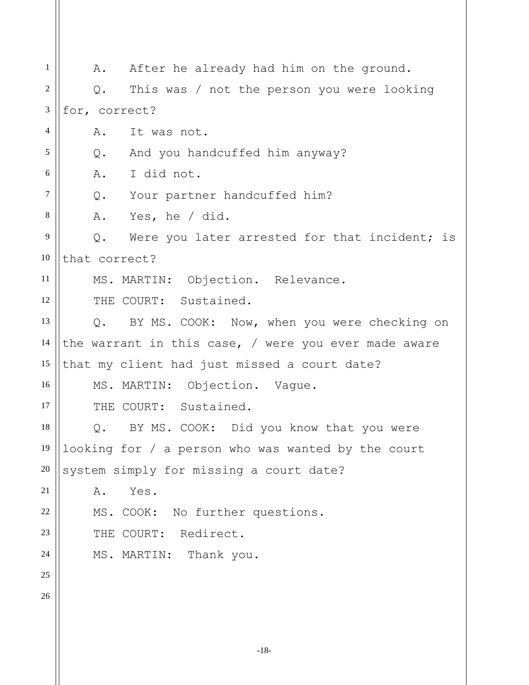| 1              | After he already had him on the ground.<br>Α.                 |
|----------------|---------------------------------------------------------------|
| $\overline{2}$ | This was / not the person you were looking<br>Q.              |
| 3              | for, correct?                                                 |
| $\overline{4}$ | It was not.<br>Α.                                             |
| 5              | And you handcuffed him anyway?<br>$Q$ .                       |
| 6              | I did not.<br>A.                                              |
| $\tau$         | Q. Your partner handcuffed him?                               |
| 8              | Yes, he / did.<br>Α.                                          |
| 9              | Were you later arrested for that incident; is<br>$Q$ .        |
| 10             | that correct?                                                 |
| 11             | MS. MARTIN: Objection. Relevance.                             |
| 12             | THE COURT: Sustained.                                         |
| 13             | BY MS. COOK: Now, when you were checking on<br>$Q_{\bullet}$  |
| 14             | the warrant in this case, $\sqrt{ }$ were you ever made aware |
| 15             | that my client had just missed a court date?                  |
| 16             | MS. MARTIN: Objection. Vague.                                 |
| 17             | THE COURT: Sustained.                                         |
| 18             | Q. BY MS. COOK: Did you know that you were                    |
| 19             | looking for / a person who was wanted by the court            |
| 20             | system simply for missing a court date?                       |
| 21             | Yes.<br>Α.                                                    |
| 22             | MS. COOK: No further questions.                               |
| 23             | THE COURT: Redirect.                                          |
| 24             | MS. MARTIN: Thank you.                                        |
| 25             |                                                               |
| 26             |                                                               |
|                |                                                               |
|                | $-18-$                                                        |
|                |                                                               |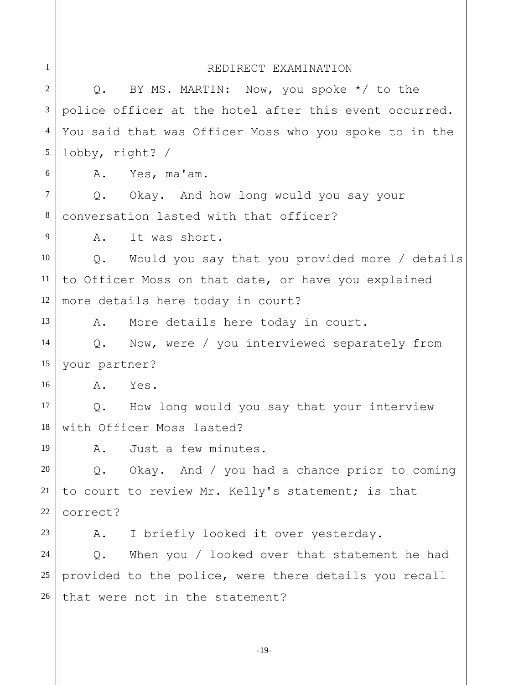| 1              |                 | REDIRECT EXAMINATION                                   |
|----------------|-----------------|--------------------------------------------------------|
| $\overline{2}$ |                 | Q. BY MS. MARTIN: Now, you spoke $*/$ to the           |
| 3              |                 | police officer at the hotel after this event occurred. |
| $\overline{4}$ |                 | You said that was Officer Moss who you spoke to in the |
| 5              | lobby, right? / |                                                        |
| 6              | A.              | Yes, ma'am.                                            |
| $\tau$         |                 | Q. Okay. And how long would you say your               |
| $8\,$          |                 | conversation lasted with that officer?                 |
| 9              | A.              | It was short.                                          |
| 10             |                 | Q. Would you say that you provided more / details      |
| 11             |                 | to Officer Moss on that date, or have you explained    |
| 12             |                 | more details here today in court?                      |
| 13             | Α.              | More details here today in court.                      |
| 14             | $Q_{\bullet}$   | Now, were / you interviewed separately from            |
| 15             | your partner?   |                                                        |
| 16             | A.              | Yes.                                                   |
| 17             |                 | Q. How long would you say that your interview          |
| 18             |                 | with Officer Moss lasted?                              |
| 19             | Α.              | Just a few minutes.                                    |
| 20             |                 | Q. Okay. And / you had a chance prior to coming        |
| 21             |                 | to court to review Mr. Kelly's statement; is that      |
| 22             | correct?        |                                                        |
| 23             | A.              | I briefly looked it over yesterday.                    |
| 24             | $Q$ .           | When you / looked over that statement he had           |
| $25\,$         |                 | provided to the police, were there details you recall  |
| 26             |                 | that were not in the statement?                        |
|                |                 |                                                        |
|                |                 |                                                        |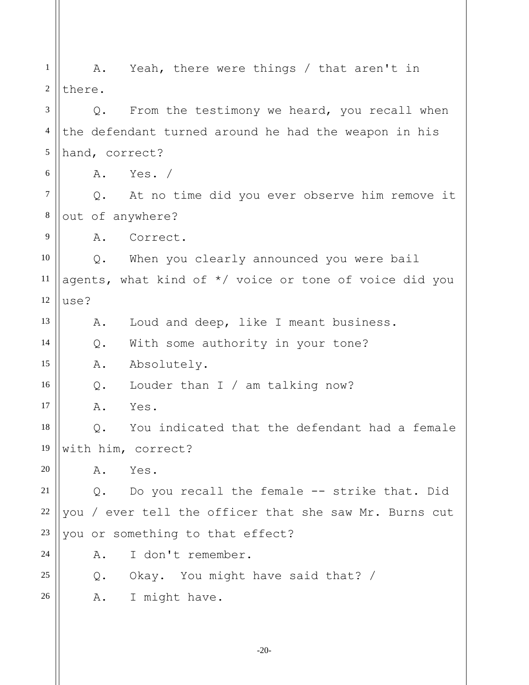1 2 3 4 5 6 7 8 9 10 11 12 13 14 15 16 17 18 19 20 21 22 23 24 25 26 A. Yeah, there were things / that aren't in there. Q. From the testimony we heard, you recall when the defendant turned around he had the weapon in his hand, correct? A. Yes. / Q. At no time did you ever observe him remove it out of anywhere? A. Correct. Q. When you clearly announced you were bail agents, what kind of \*/ voice or tone of voice did you use? A. Loud and deep, like I meant business. Q. With some authority in your tone? A. Absolutely. Q. Louder than I / am talking now? A. Yes. Q. You indicated that the defendant had a female with him, correct? A. Yes. Q. Do you recall the female -- strike that. Did you / ever tell the officer that she saw Mr. Burns cut you or something to that effect? A. I don't remember. Q. Okay. You might have said that? / A. I might have.

-20-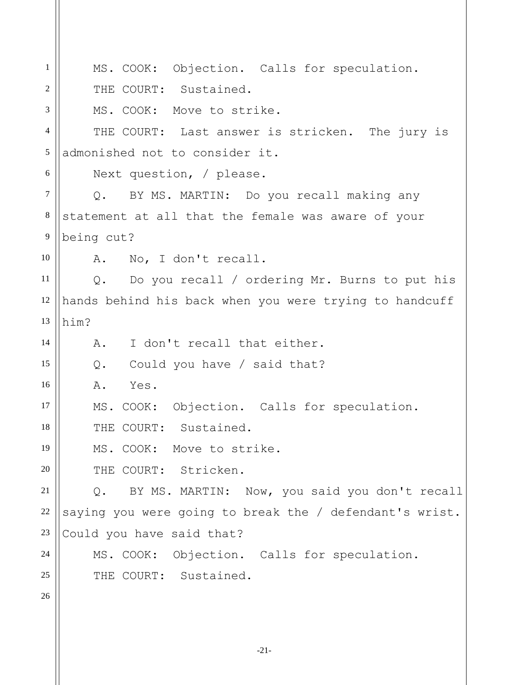| 1              | MS. COOK: Objection. Calls for speculation.             |
|----------------|---------------------------------------------------------|
| 2              | THE COURT: Sustained.                                   |
| 3              | MS. COOK: Move to strike.                               |
| $\overline{4}$ | THE COURT: Last answer is stricken. The jury is         |
| 5              | admonished not to consider it.                          |
| 6              | Next question, / please.                                |
| $\tau$         | Q. BY MS. MARTIN: Do you recall making any              |
| $\,8\,$        | statement at all that the female was aware of your      |
| $\overline{9}$ | being cut?                                              |
| 10             | No, I don't recall.<br>A.                               |
| 11             | Q. Do you recall / ordering Mr. Burns to put his        |
| 12             | hands behind his back when you were trying to handcuff  |
| 13             | him?                                                    |
| 14             | I don't recall that either.<br>A.                       |
| 15             | Could you have / said that?<br>Q.                       |
| 16             | Yes.<br>Α.                                              |
| 17             | MS. COOK: Objection. Calls for speculation.             |
| 18             | THE COURT: Sustained.                                   |
| 19             | MS. COOK: Move to strike.                               |
| 20             | THE COURT: Stricken.                                    |
| 21             | BY MS. MARTIN: Now, you said you don't recall<br>$Q$ .  |
| 22             | saying you were going to break the / defendant's wrist. |
| 23             | Could you have said that?                               |
| 24             | MS. COOK: Objection. Calls for speculation.             |
| 25             | THE COURT: Sustained.                                   |
| 26             |                                                         |
|                |                                                         |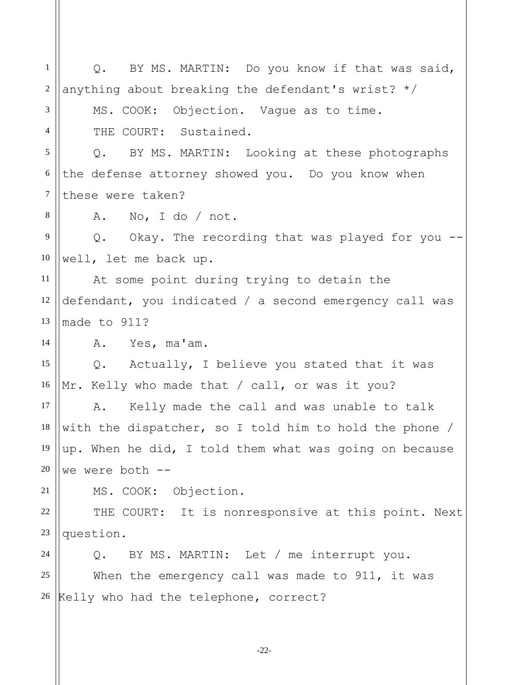| $\mathbf{1}$     | BY MS. MARTIN: Do you know if that was said,<br>Q.     |
|------------------|--------------------------------------------------------|
| $\mathfrak{2}$   | anything about breaking the defendant's wrist? $*/$    |
| 3                | MS. COOK: Objection. Vague as to time.                 |
| $\overline{4}$   | THE COURT: Sustained.                                  |
| 5                | Q. BY MS. MARTIN: Looking at these photographs         |
| 6                | the defense attorney showed you. Do you know when      |
| $\boldsymbol{7}$ | these were taken?                                      |
| 8                | No, I do / not.<br>A.                                  |
| 9                | Q. Okay. The recording that was played for you --      |
| 10               | well, let me back up.                                  |
| 11               | At some point during trying to detain the              |
| 12               | defendant, you indicated / a second emergency call was |
| 13               | made to 911?                                           |
| 14               | Yes, ma'am.<br>Α.                                      |
| 15               | Actually, I believe you stated that it was<br>Q.       |
| 16               | Mr. Kelly who made that / call, or was it you?         |
| 17               | Kelly made the call and was unable to talk<br>Α.       |
| 18               | with the dispatcher, so I told him to hold the phone / |
| 19               | up. When he did, I told them what was going on because |
| 20               | we were both --                                        |
| 21               | MS. COOK: Objection.                                   |
| $22\,$           | THE COURT: It is nonresponsive at this point. Next     |
| 23               | question.                                              |
| 24               | BY MS. MARTIN: Let / me interrupt you.<br>$Q$ .        |
| 25               | When the emergency call was made to 911, it was        |
| 26               | Kelly who had the telephone, correct?                  |
|                  |                                                        |
|                  |                                                        |

-22-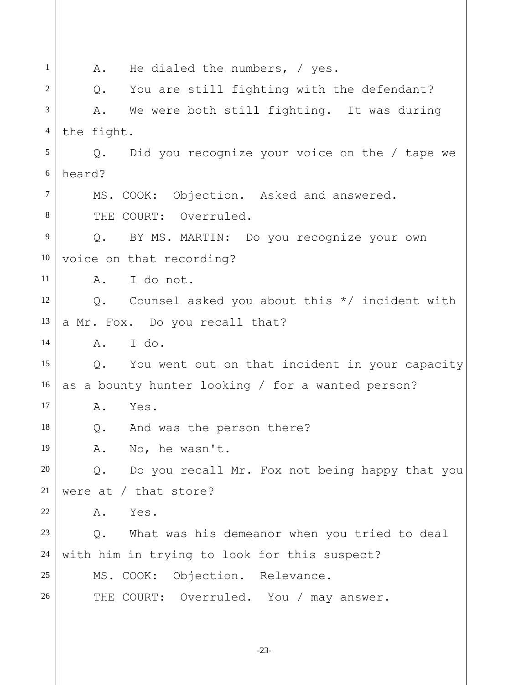| 1              | He dialed the numbers, $\frac{1}{2}$ yes.<br>A.       |
|----------------|-------------------------------------------------------|
| 2              | You are still fighting with the defendant?<br>$Q$ .   |
| 3              | We were both still fighting. It was during<br>Α.      |
| $\overline{4}$ | the fight.                                            |
| 5              | Did you recognize your voice on the / tape we<br>Q.   |
| $\sqrt{6}$     | heard?                                                |
| $\tau$         | MS. COOK: Objection. Asked and answered.              |
| 8              | THE COURT: Overruled.                                 |
| $\overline{9}$ | BY MS. MARTIN: Do you recognize your own<br>$Q$ .     |
| 10             | voice on that recording?                              |
| 11             | I do not.<br>A.                                       |
| 12             | Counsel asked you about this $*/$ incident with<br>Q. |
| 13             | a Mr. Fox. Do you recall that?                        |
| 14             | I do.<br>Α.                                           |
| 15             | Q. You went out on that incident in your capacity     |
| 16             | as a bounty hunter looking / for a wanted person?     |
| 17             | Α.<br>Yes.                                            |
| 18             | And was the person there?<br>Q.                       |
| 19             | A. No, he wasn't.                                     |
| 20             | Do you recall Mr. Fox not being happy that you<br>Q.  |
| 21             | were at $/$ that store?                               |
| 22             | Yes.<br>Α.                                            |
| 23             | What was his demeanor when you tried to deal<br>$Q$ . |
| 24             | with him in trying to look for this suspect?          |
| 25             | MS. COOK: Objection. Relevance.                       |
| 26             | THE COURT: Overruled. You / may answer.               |
|                |                                                       |

-23-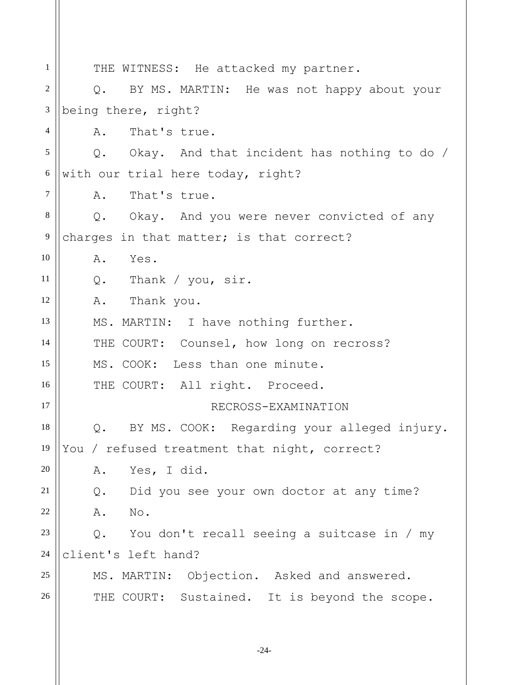1 2 3 4 5 6 7 8 9 10 11 12 13 14 15 16 17 18 19 20 21 22 23 24 25 26 THE WITNESS: He attacked my partner. Q. BY MS. MARTIN: He was not happy about your being there, right? A. That's true. Q. Okay. And that incident has nothing to do / with our trial here today, right? A. That's true. Q. Okay. And you were never convicted of any charges in that matter; is that correct? A. Yes. Q. Thank / you, sir. A. Thank you. MS. MARTIN: I have nothing further. THE COURT: Counsel, how long on recross? MS. COOK: Less than one minute. THE COURT: All right. Proceed. RECROSS-EXAMINATION Q. BY MS. COOK: Regarding your alleged injury. You / refused treatment that night, correct? A. Yes, I did. Q. Did you see your own doctor at any time? A. No. Q. You don't recall seeing a suitcase in / my client's left hand? MS. MARTIN: Objection. Asked and answered. THE COURT: Sustained. It is beyond the scope.